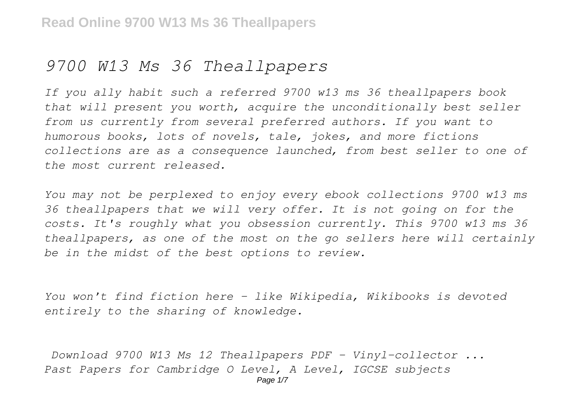# *9700 W13 Ms 36 Theallpapers*

*If you ally habit such a referred 9700 w13 ms 36 theallpapers book that will present you worth, acquire the unconditionally best seller from us currently from several preferred authors. If you want to humorous books, lots of novels, tale, jokes, and more fictions collections are as a consequence launched, from best seller to one of the most current released.*

*You may not be perplexed to enjoy every ebook collections 9700 w13 ms 36 theallpapers that we will very offer. It is not going on for the costs. It's roughly what you obsession currently. This 9700 w13 ms 36 theallpapers, as one of the most on the go sellers here will certainly be in the midst of the best options to review.*

*You won't find fiction here – like Wikipedia, Wikibooks is devoted entirely to the sharing of knowledge.*

*Download 9700 W13 Ms 12 Theallpapers PDF - Vinyl-collector ... Past Papers for Cambridge O Level, A Level, IGCSE subjects*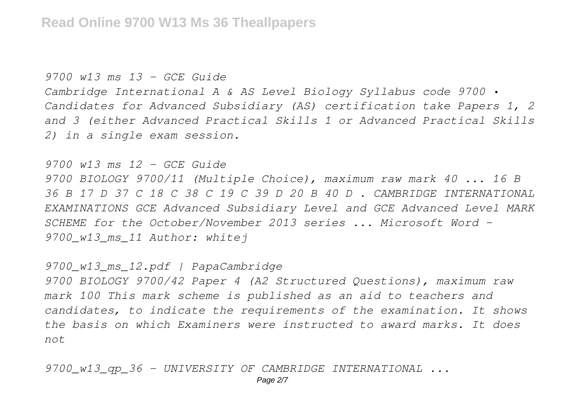*9700 w13 ms 13 - GCE Guide*

*Cambridge International A & AS Level Biology Syllabus code 9700 • Candidates for Advanced Subsidiary (AS) certification take Papers 1, 2 and 3 (either Advanced Practical Skills 1 or Advanced Practical Skills 2) in a single exam session.*

*9700 w13 ms 12 - GCE Guide*

*9700 BIOLOGY 9700/11 (Multiple Choice), maximum raw mark 40 ... 16 B 36 B 17 D 37 C 18 C 38 C 19 C 39 D 20 B 40 D . CAMBRIDGE INTERNATIONAL EXAMINATIONS GCE Advanced Subsidiary Level and GCE Advanced Level MARK SCHEME for the October/November 2013 series ... Microsoft Word - 9700\_w13\_ms\_11 Author: whitej*

*9700\_w13\_ms\_12.pdf | PapaCambridge*

*9700 BIOLOGY 9700/42 Paper 4 (A2 Structured Questions), maximum raw mark 100 This mark scheme is published as an aid to teachers and candidates, to indicate the requirements of the examination. It shows the basis on which Examiners were instructed to award marks. It does not*

*9700\_w13\_qp\_36 - UNIVERSITY OF CAMBRIDGE INTERNATIONAL ...*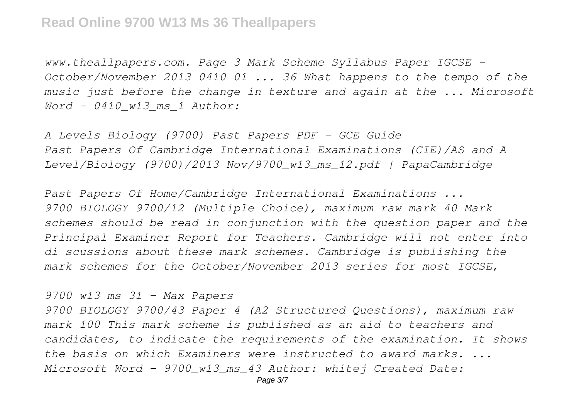*www.theallpapers.com. Page 3 Mark Scheme Syllabus Paper IGCSE – October/November 2013 0410 01 ... 36 What happens to the tempo of the music just before the change in texture and again at the ... Microsoft Word - 0410\_w13\_ms\_1 Author:*

*A Levels Biology (9700) Past Papers PDF - GCE Guide Past Papers Of Cambridge International Examinations (CIE)/AS and A Level/Biology (9700)/2013 Nov/9700\_w13\_ms\_12.pdf | PapaCambridge*

*Past Papers Of Home/Cambridge International Examinations ... 9700 BIOLOGY 9700/12 (Multiple Choice), maximum raw mark 40 Mark schemes should be read in conjunction with the question paper and the Principal Examiner Report for Teachers. Cambridge will not enter into di scussions about these mark schemes. Cambridge is publishing the mark schemes for the October/November 2013 series for most IGCSE,*

*9700 w13 ms 31 - Max Papers*

*9700 BIOLOGY 9700/43 Paper 4 (A2 Structured Questions), maximum raw mark 100 This mark scheme is published as an aid to teachers and candidates, to indicate the requirements of the examination. It shows the basis on which Examiners were instructed to award marks. ... Microsoft Word - 9700\_w13\_ms\_43 Author: whitej Created Date:*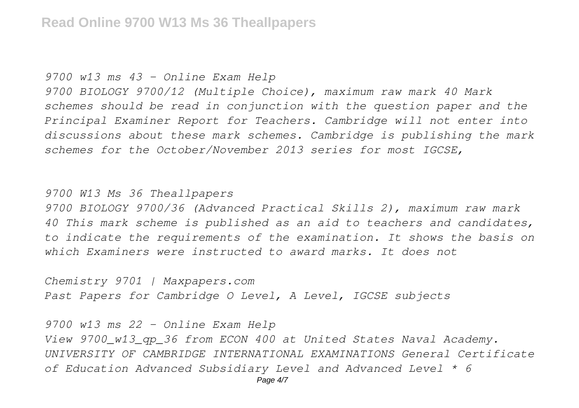### *9700 w13 ms 43 - Online Exam Help*

*9700 BIOLOGY 9700/12 (Multiple Choice), maximum raw mark 40 Mark schemes should be read in conjunction with the question paper and the Principal Examiner Report for Teachers. Cambridge will not enter into discussions about these mark schemes. Cambridge is publishing the mark schemes for the October/November 2013 series for most IGCSE,*

## *9700 W13 Ms 36 Theallpapers*

*9700 BIOLOGY 9700/36 (Advanced Practical Skills 2), maximum raw mark 40 This mark scheme is published as an aid to teachers and candidates, to indicate the requirements of the examination. It shows the basis on which Examiners were instructed to award marks. It does not*

*Chemistry 9701 | Maxpapers.com Past Papers for Cambridge O Level, A Level, IGCSE subjects*

*9700 w13 ms 22 - Online Exam Help View 9700\_w13\_qp\_36 from ECON 400 at United States Naval Academy. UNIVERSITY OF CAMBRIDGE INTERNATIONAL EXAMINATIONS General Certificate of Education Advanced Subsidiary Level and Advanced Level \* 6*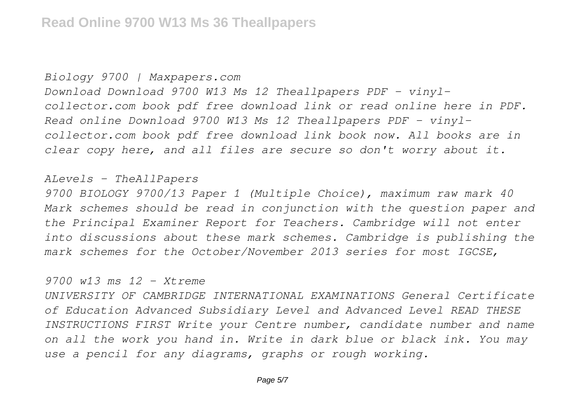#### *Biology 9700 | Maxpapers.com*

*Download Download 9700 W13 Ms 12 Theallpapers PDF - vinylcollector.com book pdf free download link or read online here in PDF. Read online Download 9700 W13 Ms 12 Theallpapers PDF - vinylcollector.com book pdf free download link book now. All books are in clear copy here, and all files are secure so don't worry about it.*

### *ALevels - TheAllPapers*

*9700 BIOLOGY 9700/13 Paper 1 (Multiple Choice), maximum raw mark 40 Mark schemes should be read in conjunction with the question paper and the Principal Examiner Report for Teachers. Cambridge will not enter into discussions about these mark schemes. Cambridge is publishing the mark schemes for the October/November 2013 series for most IGCSE,*

# *9700 w13 ms 12 - Xtreme*

*UNIVERSITY OF CAMBRIDGE INTERNATIONAL EXAMINATIONS General Certificate of Education Advanced Subsidiary Level and Advanced Level READ THESE INSTRUCTIONS FIRST Write your Centre number, candidate number and name on all the work you hand in. Write in dark blue or black ink. You may use a pencil for any diagrams, graphs or rough working.*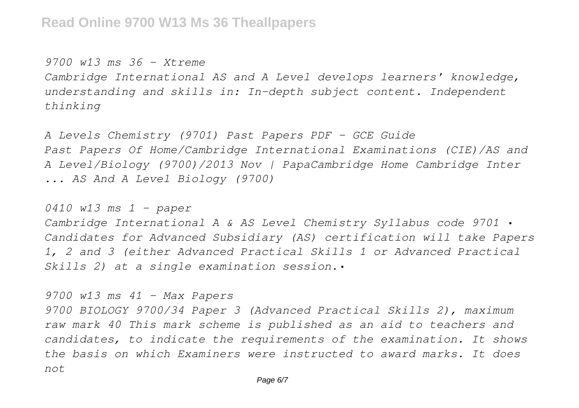*9700 w13 ms 36 - Xtreme Cambridge International AS and A Level develops learners' knowledge, understanding and skills in: In-depth subject content. Independent thinking*

*A Levels Chemistry (9701) Past Papers PDF - GCE Guide Past Papers Of Home/Cambridge International Examinations (CIE)/AS and A Level/Biology (9700)/2013 Nov | PapaCambridge Home Cambridge Inter ... AS And A Level Biology (9700)*

*0410 w13 ms 1 - paper*

*Cambridge International A & AS Level Chemistry Syllabus code 9701 • Candidates for Advanced Subsidiary (AS) certification will take Papers 1, 2 and 3 (either Advanced Practical Skills 1 or Advanced Practical Skills 2) at a single examination session.•*

*9700 w13 ms 41 - Max Papers*

*9700 BIOLOGY 9700/34 Paper 3 (Advanced Practical Skills 2), maximum raw mark 40 This mark scheme is published as an aid to teachers and candidates, to indicate the requirements of the examination. It shows the basis on which Examiners were instructed to award marks. It does not*